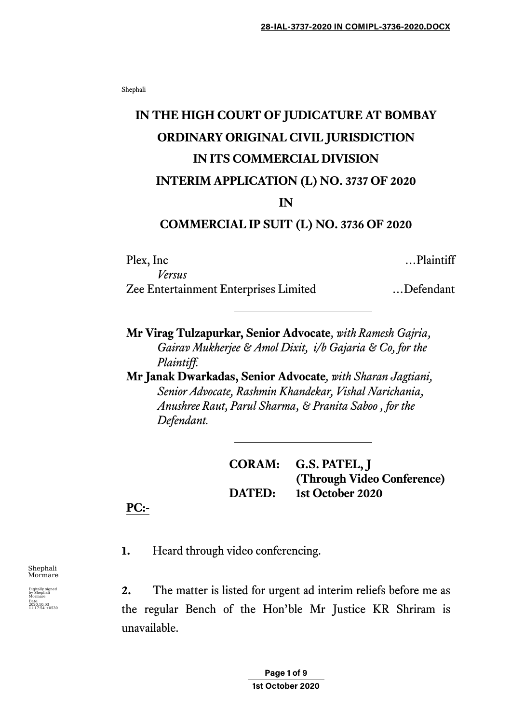Shephali

## **IN THE HIGH COURT OF JUDICATURE AT BOMBAY ORDINARY ORIGINAL CIVIL JURISDICTION IN ITS COMMERCIAL DIVISION INTERIM APPLICATION (L) NO. 3737 OF 2020**

## **IN**

## **COMMERCIAL IP SUIT (L) NO. 3736 OF 2020**

| Plex, Inc                             | Plaintiff |
|---------------------------------------|-----------|
| Versus                                |           |
| Zee Entertainment Enterprises Limited | Defendant |

**Mr Virag Tulzapurkar, Senior Advocate***, with Ramesh Gajria, Gairav Mukherjee & Amol Dixit, i/b Gajaria & Co, for the Plaintiff.*

**Mr Janak Dwarkadas, Senior Advocate***, with Sharan Jagtiani, Senior Advocate, Rashmin Khandekar, Vishal Narichania, Anushree Raut, Parul Sharma, & Pranita Saboo , for the Defendant.*

> **CORAM: G.S. PATEL, J (Through Video Conference) DATED: 1st October 2020**

**PC:-**

**1.** Heard through video conferencing.

**2.** The matter is listed for urgent ad interim reliefs before me as the regular Bench of the Hon'ble Mr Justice KR Shriram is unavailable.

Shephali Mormare

Digitally signed by Shephali Mormare Date: 2020.10.03 11:17:54 +0530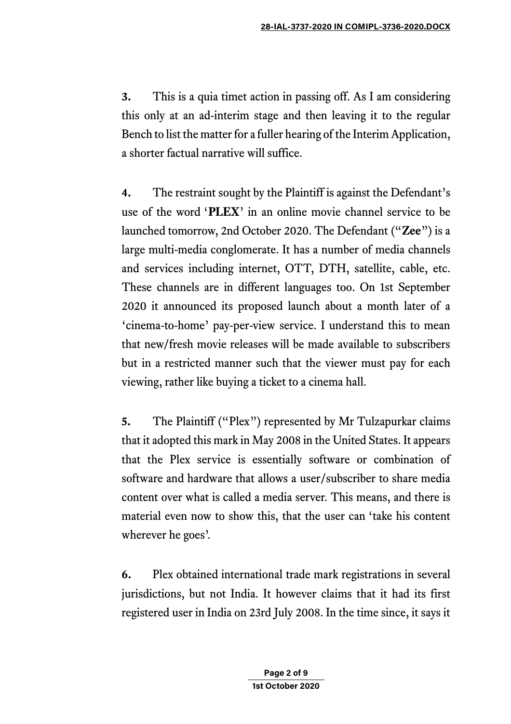**3.** This is a quia timet action in passing off. As I am considering this only at an ad-interim stage and then leaving it to the regular Bench to list the matter for a fuller hearing of the Interim Application, a shorter factual narrative will suffice.

**4.** The restraint sought by the Plaintiff is against the Defendant's use of the word '**PLEX**' in an online movie channel service to be launched tomorrow, 2nd October 2020. The Defendant ("**Zee**") is a large multi-media conglomerate. It has a number of media channels and services including internet, OTT, DTH, satellite, cable, etc. These channels are in different languages too. On 1st September 2020 it announced its proposed launch about a month later of a 'cinema-to-home' pay-per-view service. I understand this to mean that new/fresh movie releases will be made available to subscribers but in a restricted manner such that the viewer must pay for each viewing, rather like buying a ticket to a cinema hall.

**5.** The Plaintiff ("Plex") represented by Mr Tulzapurkar claims that it adopted this mark in May 2008 in the United States. It appears that the Plex service is essentially software or combination of software and hardware that allows a user/subscriber to share media content over what is called a media server. This means, and there is material even now to show this, that the user can 'take his content wherever he goes'.

**6.** Plex obtained international trade mark registrations in several jurisdictions, but not India. It however claims that it had its first registered user in India on 23rd July 2008. In the time since, it says it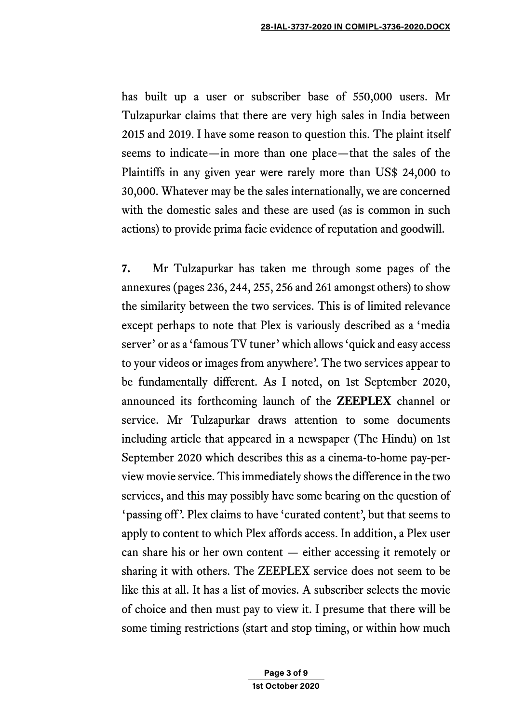has built up a user or subscriber base of 550,000 users. Mr Tulzapurkar claims that there are very high sales in India between 2015 and 2019. I have some reason to question this. The plaint itself seems to indicate—in more than one place—that the sales of the Plaintiffs in any given year were rarely more than US\$ 24,000 to 30,000. Whatever may be the sales internationally, we are concerned with the domestic sales and these are used (as is common in such actions) to provide prima facie evidence of reputation and goodwill.

**7.** Mr Tulzapurkar has taken me through some pages of the annexures (pages 236, 244, 255, 256 and 261 amongst others) to show the similarity between the two services. This is of limited relevance except perhaps to note that Plex is variously described as a 'media server' or as a 'famous TV tuner' which allows 'quick and easy access to your videos or images from anywhere'. The two services appear to be fundamentally different. As I noted, on 1st September 2020, announced its forthcoming launch of the **ZEEPLEX** channel or service. Mr Tulzapurkar draws attention to some documents including article that appeared in a newspaper (The Hindu) on 1st September 2020 which describes this as a cinema-to-home pay-perview movie service. This immediately shows the difference in the two services, and this may possibly have some bearing on the question of 'passing off'. Plex claims to have 'curated content', but that seems to apply to content to which Plex affords access. In addition, a Plex user can share his or her own content — either accessing it remotely or sharing it with others. The ZEEPLEX service does not seem to be like this at all. It has a list of movies. A subscriber selects the movie of choice and then must pay to view it. I presume that there will be some timing restrictions (start and stop timing, or within how much

> **Page 3 of 9 1st October 2020**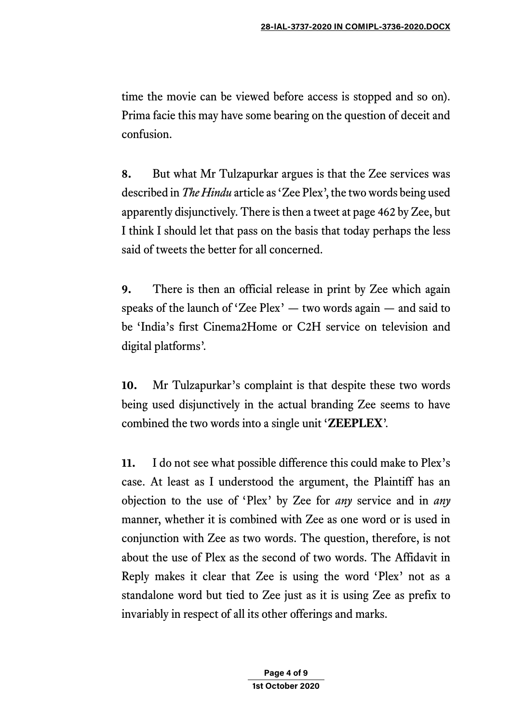time the movie can be viewed before access is stopped and so on). Prima facie this may have some bearing on the question of deceit and confusion.

**8.** But what Mr Tulzapurkar argues is that the Zee services was described in *The Hindu* article as 'Zee Plex', the two words being used apparently disjunctively. There is then a tweet at page 462 by Zee, but I think I should let that pass on the basis that today perhaps the less said of tweets the better for all concerned.

**9.** There is then an official release in print by Zee which again speaks of the launch of 'Zee Plex' — two words again — and said to be 'India's first Cinema2Home or C2H service on television and digital platforms'.

**10.** Mr Tulzapurkar's complaint is that despite these two words being used disjunctively in the actual branding Zee seems to have combined the two words into a single unit '**ZEEPLEX**'.

**11.** I do not see what possible difference this could make to Plex's case. At least as I understood the argument, the Plaintiff has an objection to the use of 'Plex' by Zee for *any* service and in *any* manner, whether it is combined with Zee as one word or is used in conjunction with Zee as two words. The question, therefore, is not about the use of Plex as the second of two words. The Affidavit in Reply makes it clear that Zee is using the word 'Plex' not as a standalone word but tied to Zee just as it is using Zee as prefix to invariably in respect of all its other offerings and marks.

> **Page 4 of 9 1st October 2020**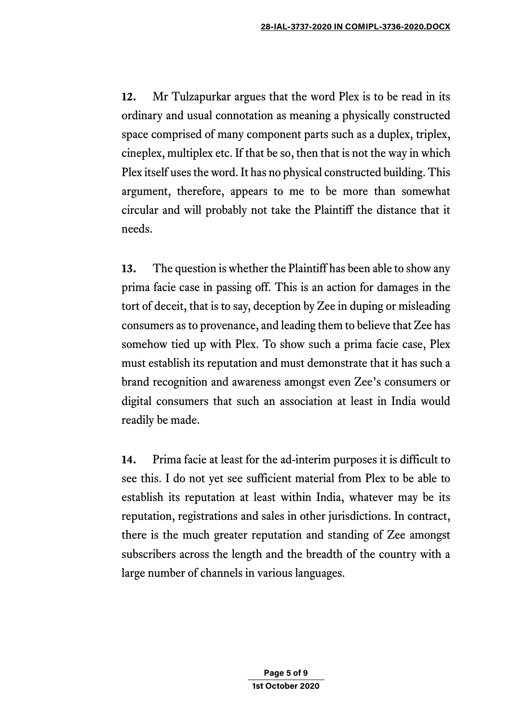**12.** Mr Tulzapurkar argues that the word Plex is to be read in its ordinary and usual connotation as meaning a physically constructed space comprised of many component parts such as a duplex, triplex, cineplex, multiplex etc. If that be so, then that is not the way in which Plex itself uses the word. It has no physical constructed building. This argument, therefore, appears to me to be more than somewhat circular and will probably not take the Plaintiff the distance that it needs.

**13.** The question is whether the Plaintiff has been able to show any prima facie case in passing off. This is an action for damages in the tort of deceit, that is to say, deception by Zee in duping or misleading consumers as to provenance, and leading them to believe that Zee has somehow tied up with Plex. To show such a prima facie case, Plex must establish its reputation and must demonstrate that it has such a brand recognition and awareness amongst even Zee's consumers or digital consumers that such an association at least in India would readily be made.

**14.** Prima facie at least for the ad-interim purposes it is difficult to see this. I do not yet see sufficient material from Plex to be able to establish its reputation at least within India, whatever may be its reputation, registrations and sales in other jurisdictions. In contract, there is the much greater reputation and standing of Zee amongst subscribers across the length and the breadth of the country with a large number of channels in various languages.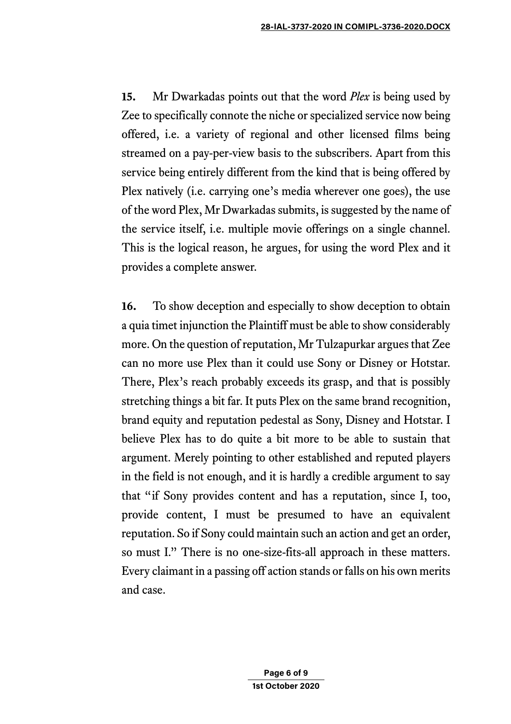**15.** Mr Dwarkadas points out that the word *Plex* is being used by Zee to specifically connote the niche or specialized service now being offered, i.e. a variety of regional and other licensed films being streamed on a pay-per-view basis to the subscribers. Apart from this service being entirely different from the kind that is being offered by Plex natively (i.e. carrying one's media wherever one goes), the use of the word Plex, Mr Dwarkadas submits, is suggested by the name of the service itself, i.e. multiple movie offerings on a single channel. This is the logical reason, he argues, for using the word Plex and it provides a complete answer.

**16.** To show deception and especially to show deception to obtain a quia timet injunction the Plaintiff must be able to show considerably more. On the question of reputation, Mr Tulzapurkar argues that Zee can no more use Plex than it could use Sony or Disney or Hotstar. There, Plex's reach probably exceeds its grasp, and that is possibly stretching things a bit far. It puts Plex on the same brand recognition, brand equity and reputation pedestal as Sony, Disney and Hotstar. I believe Plex has to do quite a bit more to be able to sustain that argument. Merely pointing to other established and reputed players in the field is not enough, and it is hardly a credible argument to say that "if Sony provides content and has a reputation, since I, too, provide content, I must be presumed to have an equivalent reputation. So if Sony could maintain such an action and get an order, so must I." There is no one-size-fits-all approach in these matters. Every claimant in a passing off action stands or falls on his own merits and case.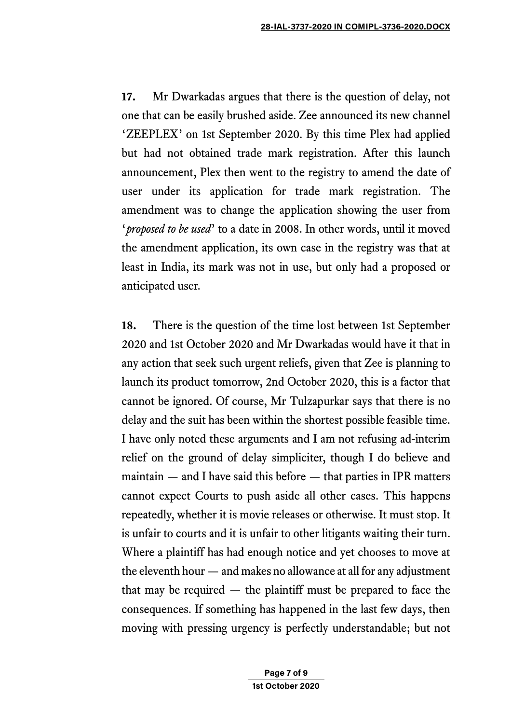**17.** Mr Dwarkadas argues that there is the question of delay, not one that can be easily brushed aside. Zee announced its new channel 'ZEEPLEX' on 1st September 2020. By this time Plex had applied but had not obtained trade mark registration. After this launch announcement, Plex then went to the registry to amend the date of user under its application for trade mark registration. The amendment was to change the application showing the user from '*proposed to be used*' to a date in 2008. In other words, until it moved the amendment application, its own case in the registry was that at least in India, its mark was not in use, but only had a proposed or anticipated user.

**18.** There is the question of the time lost between 1st September 2020 and 1st October 2020 and Mr Dwarkadas would have it that in any action that seek such urgent reliefs, given that Zee is planning to launch its product tomorrow, 2nd October 2020, this is a factor that cannot be ignored. Of course, Mr Tulzapurkar says that there is no delay and the suit has been within the shortest possible feasible time. I have only noted these arguments and I am not refusing ad-interim relief on the ground of delay simpliciter, though I do believe and maintain — and I have said this before — that parties in IPR matters cannot expect Courts to push aside all other cases. This happens repeatedly, whether it is movie releases or otherwise. It must stop. It is unfair to courts and it is unfair to other litigants waiting their turn. Where a plaintiff has had enough notice and yet chooses to move at the eleventh hour — and makes no allowance at all for any adjustment that may be required — the plaintiff must be prepared to face the consequences. If something has happened in the last few days, then moving with pressing urgency is perfectly understandable; but not

> **Page 7 of 9 1st October 2020**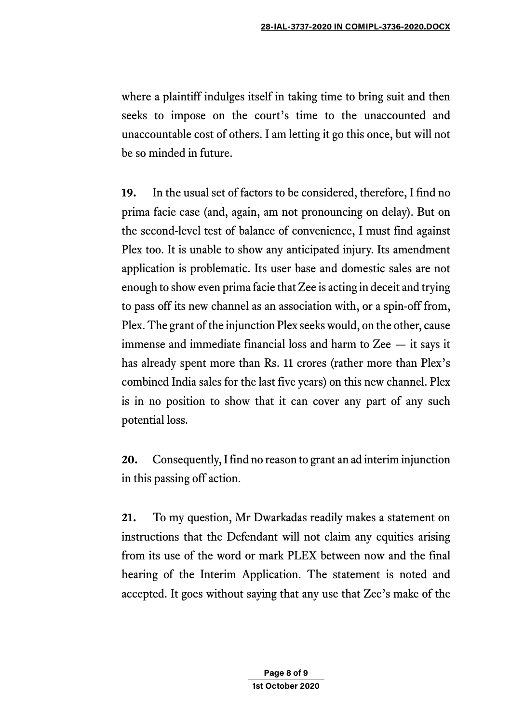where a plaintiff indulges itself in taking time to bring suit and then seeks to impose on the court's time to the unaccounted and unaccountable cost of others. I am letting it go this once, but will not be so minded in future.

**19.** In the usual set of factors to be considered, therefore, I find no prima facie case (and, again, am not pronouncing on delay). But on the second-level test of balance of convenience, I must find against Plex too. It is unable to show any anticipated injury. Its amendment application is problematic. Its user base and domestic sales are not enough to show even prima facie that Zee is acting in deceit and trying to pass off its new channel as an association with, or a spin-off from, Plex. The grant of the injunction Plex seeks would, on the other, cause immense and immediate financial loss and harm to Zee — it says it has already spent more than Rs. 11 crores (rather more than Plex's combined India sales for the last five years) on this new channel. Plex is in no position to show that it can cover any part of any such potential loss.

**20.** Consequently, I find no reason to grant an ad interim injunction in this passing off action.

**21.** To my question, Mr Dwarkadas readily makes a statement on instructions that the Defendant will not claim any equities arising from its use of the word or mark PLEX between now and the final hearing of the Interim Application. The statement is noted and accepted. It goes without saying that any use that Zee's make of the